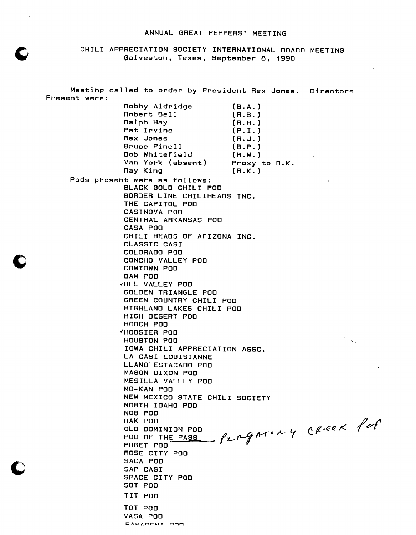### ANNUAL GREAT PEPPERS' MEETING

CHILI APPRECIATION SOCIETY INTERNATIONAL BOARD MEETING Galveston, Texas, September 8, 1990

Meeting called to order by President Rex Jones. Directors Present were: Bobby Aldridge (B.A.) Robert Bell (R.B.) Ralph Hay (R.H.)<br>Pat Irvine (P.I.) Pat Irvine (P.I.)<br>Rex Jones (R.J.) Rex Jones (R.J.)<br>Bruce Pinell (B.P.) Bruce Pinell Bob Whitefield (B.W.) Van York (absent) Proxy to R.K.<br>Ray King (R.K.) Ray King Pods present were as follows: BLACK GOLD CHILI POD BORDER LINE CHILIHEADS INC. THE CAPITOL POD CASINOVA POD CENTRAL ARKANSAS POD CASA POD CHILI HEADS OF ARIZONA INC. CLASSIC CASI COLORADO POD CONCHO VALLEY POD COWTOWN POD DAM POD "'DEL VALLEY POD GOLDEN TRIANGLE POD GREEN COUNTRY CHILI POD HIGHLAND LAKES CHILI POD HIGH DESERT POD HOOCH POD "HOOSIER POD  $\infty_{\rm max}$ HOUSTON POD IOWA CHILI APPRECIATION ASSC. LA CASI LOUISIANNE LLANO ESTACADO POD MASON DIXON POD MESILLA VALLEY POD MO-KAN POD NEW MEXICO STATE CHILI SOCIETY NORTH IDAHO POD NOB POD OAK POD OLD DOMINION POD<br>POD OF THE PASS , Pu p 4 AT . A PUGET POD ROSE CITY POD SACA POD SAP CASI SPACE CITY POD SOT POD TIT POD TOT POD VASA POD PACAMENA POM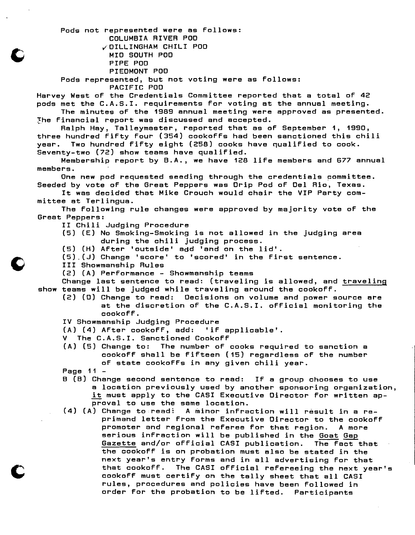Pods not represented were as follows: COLUMBIA RIVER POD ~OILLINGHAM CHILI POD

MID SOUTH POD PIPE POD

PIEDMONT POD

Pods represented, but not voting were as follows:

PACIFIC POD

Harvey West of the Credentials Committee reported that a total of 42 pods met the C.A.S.I. requirements for voting at the annual meeting.

The minutes of the 1989 annual meeting were approved as presented. The financial report was discussed and accepted.

Ralph Hay, Talleymaster, reported that as of September 1, 1990, three hundred fifty four (354) cookoffs had been sanctioned this chili year. Two hundred fifty eight (258) cooks have qualified to cook. Seventy-two (72) show teams have qualified.

Membership report by B.A., we have 128 life members and 677 annual members.

One new pod requested seeding through the credentials committee. Seeded by vote of the Great Peppers was Drip Pod of Del Rio, Texas.

It was decided that Mike Crouch would chair the VIP Party committee at Terlingua.

The following rule changes were approved by majority vote of the Great Peppers:

II Chili Judging Procedure

(5) (E) No Smoking-Smoking is not allowed in the judging area during the chili judging process.

- (5) (H) After 'outside' add 'and on the lid'.
- (5).(J) Change 'score' to 'scored' in the first sentence.
- III Showmanship Rules
- (2) (A) Performance Showmanship teams

Change last sentence to read: (traveling is allowed, and traveling show teams will be judged while traveling around the cookoff.

(2) (0) Change to read: Decisions on volume and power source are at the discretion of the C.A.S.I. official monitoring the cookoff.

IV Showmanship Judging Procedure

- (A) (4) After cookoff, add: 'if applicable'.
- V The C.A.S.I. Sanctioned Cookoff

(A) (5) Change to: The number of cooks required to sanction a cookoff shall be fifteen (15) regardless of the number of state cookoffs in any given chili year.

Page 11 

- B (B) Change second sentence to read: If a group chooses to use a location previously used by another sponsoring organization, it must apply to the CASI Executive Director for written approval to use the same location.
- (4) (A) Change to read: A minor infraction will result in a reprimand letter from the Executive Director to the cookoff promoter and regional referee for that region. A more serious infraction will be published in the Goat Gap Gazette and/or official CASI publication. The fact that the cookoff is on probation must also be stated in the next year's entry forms and in all advertising for that that cookoff. The CASI official refereeing the next year's cookoff must certify on the tally sheet that all CASI rules, procedures and policies have been followed in order for the probation to be lifted. Participants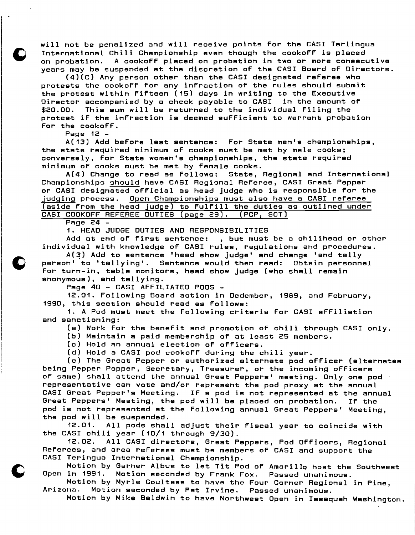will not be penalized and will receive points for the CASI Terlingua International Chili Championship even though the cookoff is placed A cookoff placed on probation in two or more consecutive years may be suspended at the discretion of the CASI Board of Directors.

(4)(C) Any person other than the CASI designated referee who protests the cookoff for any infraction of the rules should submit the protest within fifteen (15) days in writing to the Executive Director accompanied by a check payable to CASI in the amount of \$20.00. This sum will be returned to the individual filing the protest if the infraction is deemed sufficient to warrant probation for the cookoff.

Page 12 -

A(13) Add before last sentence: For State men's championships, the state required minimum of cooks must be met by male cooks; conversely, for State women's championships, the state required minimum of cooks must be met by female cooks.

A(4) Change to read as follows: State, Regional and International Championships should have CASI Regional Referee, CASI Great Pepper or CASI designated official as head judge who is responsible for the judging process. Open Championships must also have a CASI referee (aside from the head judge) to fulfill the duties as outlined under CASI COOKOFF REFEREE DUTIES (page 29). (PCP, SOT)

Page 24

1. HEAD JUDGE DUTIES AND RESPONSIBILITIES

Add at end of first sentence: , but must be a chilihead or other individual with knowledge of CASI rules, regulations and procedures.

 $A(3)$  Add to sentence 'head show judge' and change 'and tally person' to 'tallying'. Sentence would then read: Obtain personnel for turn-in, table monitors, head show judge (who shall remain anonymous), and tallying.

Page 40 - CASI AFFILIATED PODS

12.01. Following Board action in Dedember, 1989, and February, 1990, this section should read as follows:

1. A Pod must meet the following criteria for CASI affiliation and sanctioning: Ī

(a) Work for the benefit and promotion of chili through CASI only.

(b) Maintain a paid membership of at least 25 members.

(c) Hold an annual election of officers.

(d) Hold a CASI pod cookoff during the chili year.

(e) The Great Pepper or authorized alternate pod officer (alternates being Pepper Popper, Secretary, Treasurer, or the incoming officers of same) shall attend the annual Great Peppers' meeting. Only one pod representative can vote and/or represent the pod proxy at the annual CASI Great Pepper's Meeting. If a pod is not represented at the annual Great Peppers' Meeting, the pod will be placed on probation. If the pod is not represented at the following annual Great Peppers' Meeting, the pod will be suspended.

12.01. All pods shall adjust their fiscal year to coincide with the CASI chili year (10/1 through 9/30).

12.02. All CASI directors, Great Peppers, Pod Officers, Regional Referees, and area referees must be members of CASI and support the j CASI Teringua International Championship.

Motion by Garner Albus to let Tit Pod of Amarillo host the Southwest<br>Open in 1991. Motion seconded by Frank Fox. Passed unanimous. Motion seconded by Frank Fox. Passed unanimous.

Motion by Myrle Coultass to have the Four Corner Regional in Pine,<br>Arizona. Motion seconded by Pat Irvine. Passed unanimous. Motion seconded by Pat Irvine. Passed unanimous.

Motion by Mike Baldwin to have Northwest Open in Issaquah Washington.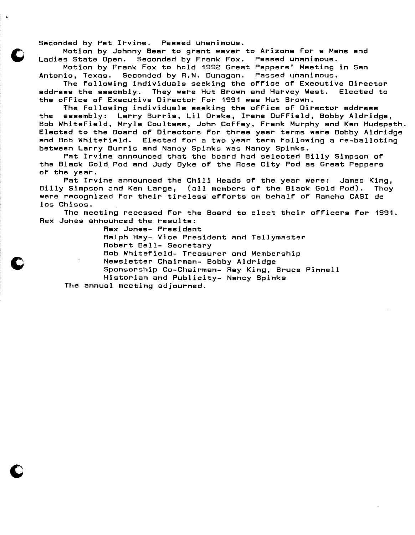Seconded by Pat Irvine. Passed unanimous.

Motion by Johnny Bear to grant waver to Arizona for a Mens and Ladies State Dpen. Seconded by Frank Fox. Passed unanimous.

Motion by Frank Fox to hold 1992 Great Peppers' Meeting in San<br>Antonio, Texas. Seconded by R.N. Dunagan. Passed unanimous. Seconded by R.N. Dunagan. Passed unanimous.

The following individuals seeking the office of Executive Director address the assembly. They were Hut Brown and Harvey West. Elected to the office of Executive Director for 1991 was Hut Brown.

The following individuals seeking the office of Director address the assembly: Larry Burris, Lil Drake, Irene Duffield, Bobby Aldridge, Bob Whitefield, Mryle Coultass, John Coffey, Frank Murphy and Ken Hudspeth. Elected to the Board of Directors for three year terms were Bobby Aldridge and Bob Whitefield. Elected for a two year term following are-balloting between Larry Burris and Nancy Spinks was Nancy Spinks.

Pat Irvine announced that the board had selected Billy Simpson of the Black Gold. Pod and Judy Dyke of the Rose City Pod as Great Peppers of the year.

Pat Irvine announced the Chili Heads of the year were: James King,<br>' Simoson and Ken Large, (all members of the Black Gold Pod). They Billy Simpson and Ken Large, (all members of the Black Gold Pod). were recognized for their tireless efforts on behalf of Rancho CASI de los Chisos.

The meeting recessed for the Board to elect their officers for 1991. Rex Jones announced the results:

Rex Jones- President

Ralph Hay- Vice President and Tallymaster

Robert Bell- Secretary

Bob Whitefield- Treasurer and Membership

Newsletter Chairman- Bobby Aldridge

Sponsorship Co-Chairman- Ray King, Bruce Pinnell

Historian and Publicity- Nancy Spinks

The annual meeting adjourned.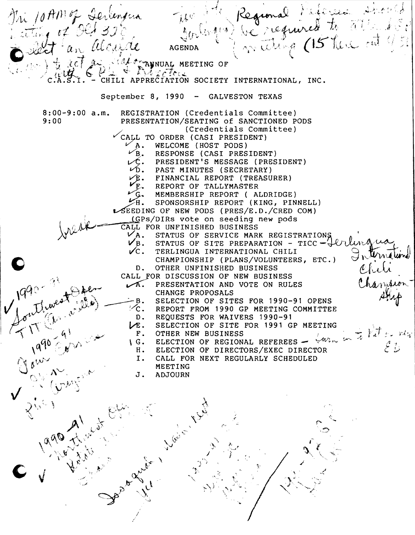Regional Piféres Directs n 10 AM of Derlingen of Old 30% **AGENDA** A TRANSVAL MEETING OF C ABNUAL ME CHILI APPRECIATION SOCIETY INTERNATIONAL, INC. September 8, 1990 - GALVESTON TEXAS REGISTRATION (Credentials Committee) 8:00-9:00 a.m. 9:00 PRESENTATION/SEATING of SANCTIONED PODS (Credentials Committee)  $\checkmark$ CALL TO ORDER (CASI PRESIDENT)  $\nu$  A. WELCOME (HOST PODS)<br> $\nu$ B. RESPONSE (CASI PRESIDENT)  $\hat{\mathcal{L}}$ . PRESIDENT'S MESSAGE (PRESIDENT)  $\sqrt{D}$ . PAST MINUTES (SECRETARY) FINANCIAL REPORT (TREASURER) REPORT OF TALLYMASTER MEMBERSHIP REPORT ( ALDRIDGE:)  $\frac{1}{2}$ H. SPONSORSHIP REPORT (KING, PINNELL) ~EEDING OF NEW PODS (PRES/E.D./CRED COM) 1 (GPS/DIRS vote on seeding new pods<br>1999 CALL FOR UNFINISHED BUSINESS<br>2004 - CALL STATUS OF SERVICE MARK REGIST  $\chi$ v  $V$ A. STATUS OF SERVICE MARK REGISTRATIONS  $\checkmark$ B. STATUS OF SITE PREPARATION - TICC - $\overleftarrow\downarrow$ <br> $\checkmark$ C. TERLINGUA INTERNATIONAL CHILI  $\sim$ TERLINGUA INTERNATIONAL CHILI \::J \V,' ,(~ t-f,....*cu*  CHAMPIONSHIP (PLANS/VOLUNTEERS, ETC.) D. OTHER UNFINISHED BUSINESS CALL FOR DISCUSSION OF NEW BUSINESS CALL FOR DISCUSSION OF NEW BUSINESS CHANGE PROPOSALS .<br>on Chanzier /1990-91 pper 1. PRESENTATION AND VOTE ON RULES  $V_{\text{C}}^{\text{B}}$ .<br> $V_{\text{E}}$ . SELECTION OF SITES FOR 1990-91 OPENS ;V""U REPORT FROM 1990 GP MEETING COMMITTEE  $\omega_{\alpha}$ REQUESTS FOR WAIVERS 1990-91  $D$ .  $\mathcal{A} \subset \mathbb{R}^N$ SELECTION OF SITE FOR 1991 GP MEETING  $\div$   $\mathcal{W}$  : in  $\mathcal{L}_{1}$  ,  $\mathcal{L}_{1}$  $\begin{array}{c} \texttt{F.} \ \texttt{G.} \end{array}$ OTHER NEW BUSINESS  $^{\prime}$ ,  $q\sim \sqrt{2\pi}$  $(\mathcal{O})$  .  $\mathcal{O}$  ,  $\mathcal{O}$  ,  $\mathcal{O}$ ELECTION OF REGIONAL REFEREES  $\checkmark w$ <sub>iv</sub>  $\mathcal{A}^{\mathcal{A}^{\prime}}$  .  $\mathcal{A}^{\prime}$ ا فت سطح H. ELECTION OF DIRECTORS/EXEC DIRECTOR ',"',,! *t,!."I·,/*  I. CALL FOR NEXT REGULARLY SCHEDULED  $\int_{\gamma_1/\gamma_2}^{\gamma_2/\gamma_1} A^{\gamma_2/\gamma_2}$  $\mathcal{O}$ MEETING *t...*  J . ADJOURN  $p \in \mathbb{R}^{n \times n}$  $``\cdot'$  '/ ( , , , ,  $\mathbb{C} \subset \mathbb{C}$  ,  $\mathbb{C} \mathbb{C}$ 'j '" - I ;., y.l *.,.j*   $\bigvee$  , , ,  $\lambda_{\mu_{\mathcal{C}}}$  )  $\checkmark$  $\lambda_{\mathcal{P}_{\mathcal{F}}}$  $\mathcal{L}$  $~\cdot~$   $~\cdot~$   $~\cdot~$   $~\cdot~$   $~\cdot~$   $~\cdot~$   $~\cdot~$   $~\cdot~$   $~\cdot~$   $~\cdot~$   $~\cdot~$   $~\cdot~$   $~\cdot~$   $~\cdot~$   $~\cdot~$   $~\cdot~$   $~\cdot~$   $~\cdot~$   $~\cdot~$   $~\cdot~$   $~\cdot~$   $~\cdot~$   $~\cdot~$   $~\cdot~$   $~\cdot~$   $~\cdot~$   $~\cdot~$   $~\cdot~$   $~\cdot~$   $~\cdot~$   $~\cdot~$   $~\cdot$ r .., ,  $\langle v^{\omega} \rangle$ r:- , *,i*J .. '.. \_~ *J* } ~J "'", J' ' .. /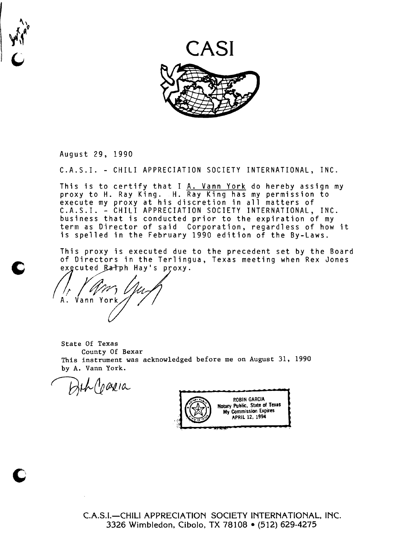

August 29, 1990

I

r

**t**  $\frac{1}{3}$ 

C.A.S.I. - CHILI APPRECIATION SOCIETY INTERNATIONAL, INC.

This is to certify that I A. Vann York do hereby assign my proxy to H. Ray King. H. Ray King has my permission to execute my proxy at his discretion in all matters of C.A.S.I. - CHILI APPRECIATION SOCIETY INTERNATIONAL, INC. business that is conducted prior to the expiration of my term as Director of said Corporation, regardless of how it is spelled in the February 1990 edition of the By-Laws.

This proxy is executed due to the precedent set by the Board of Directors in the Terlingua, Texas meeting when Rex Jones exgcuted Ratph Hay's proxy.

(1, Y am Und A. Vann York

State Of Texas County Of Bexar This instrument was acknowledged before me on August 31, 1990 by A. Vann York.

L (paria



C.A.S.I.-CHILI APPRECIATION SOCIETY INTERNATIONAL, INC. 3326 Wimbledon, Cibolo, TX 78108 • (512) 629-4275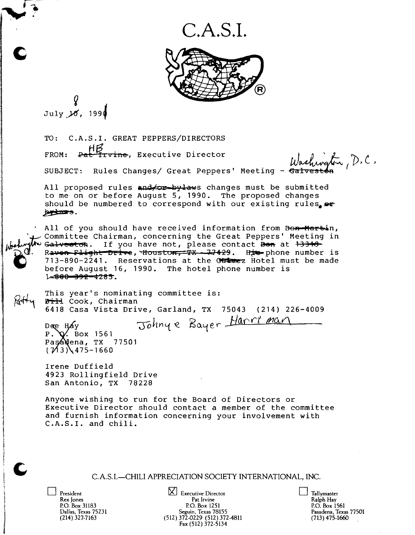C.A.S.I.



TO: C.A.S.I. GREAT PEPPERS/DIRECTORS ...,<br>S.I. GREAT PEPPERS/DIRECTORS<br>HP2<br>L'Irvine, Executive Director (A.A) FROM: Pat I tvine, Executive Director<br>SUBJECT: Rules Changes/ Great Peppers' Meeting - <del>Galveston</del>

SUBJECT: Rules Changes/ Great Peppers' meeting - Galveston<br>All proposed rules and for by laws changes must be submitted<br>to me on or before August 5, 1990. The proposed changes<br>should be numbered to correspond with our exis All proposed rules and to by laws changes must be submitted<br>to me on or before August 5, 1990. The proposed changes should be numbered to correspond with our existing rules. by Laws.

 $\mathbf{r}$ 

All of you should have received information from Bon-Hartin, Committee Chairman, concerning the Great Peppers' Meeting in  $G$ alveston. If you have not, please contact  $B$ on at  $133+9$ Raven Flight Drive, Houston, TX - 77429. His phone number is '-J13-890-2241. Reservations at the Out ex Hotel must be made before August 16, 1990. The hotel phone number is  $1 - 800 - 392 - 4285.$ 

**注意を受ける**<br>1992年9月

ann (Sain Sandhaidhichtean<br>I

ta<br>1990<br>1990 in diamana.<br>I  $\frac{1}{2}$ J l

j

This year's nominating committee is: Bill Cook, Chairman 6418 Casa Vista Drive, Garland, TX 75043 (214) 226-4009

Dee Hay Johnye Bayer Harri man Paş**á\**ena, TX 77501  $(7/13)$  475-1660

Irene Duffield 4923 Rollingfield Drive San Antonio, TX 78228

Anyone wishing to run for the Board of Directors or Executive Director should contact a member of the committee and furnish information concerning your involvement with C.A.S.I. and chili.

C. A.S.I.-CHILI APPRECIATION SOCIETY INTERNATIONAL, INC.

President  $\boxtimes$  Executive Director  $\Box$ <br>
Rex Jones Pat Irvine Rex Jones Pat Irvine Ralph Hay Ralph Hay Ralph Hay Ralph Hay Ralph Hay Ralph Hay P.O. Box 31183 P.O. Box 1251 P.O. Box 1261 P.O. Box 1561 P.O. Box 1561 P.O. Box 1561<br>Dallas, Texas 75231 Seguin, Texas 78155 Pasadena, Texas 77501  $(214)$  327-7163 (512) 372-0229 (512) 372-4811<br>Fax (512) 372-5134

| Tallymaster          |
|----------------------|
| Ralph Hay            |
| P.O. Box 1561        |
| Pasadena, Texas 7750 |
| $(713)$ 475-1660     |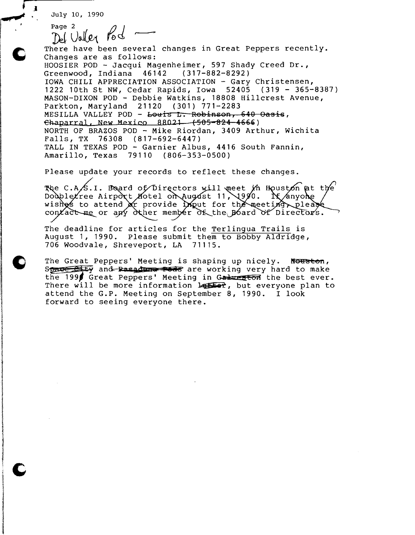~. July 10, 1990 **diP-**

*r-.a* 

. 1 *<u>interstrum</u>* I 1 ,I

I

Page 2  $\beta$  1  $D$  Ualler  $\kappa$ -There have been several changes in Great Peppers recently. Changes are as follows: HOOSIER POD - Jacqui Magenheimer, 597 Shady Creed Dr.,<br>Greenwood, Indiana 46142 (317-882-8292) Greenwood, Indiana 46142 Ī IOWA CHILI APPRECIATION ASSOCIATION - Gary Christensen, 1222 10th St NW, Cedar Rapids, Iowa 52405 (319 - 365-8387) MASON-DIXON POD - Debbie Watkins, 18808 Hillcrest Avenue, Parkton, Maryland 21120 (301) 771-2283 MESILLA VALLEY POD - Louis L. Robinson, 640 Oasis,  $~\epsilon$ haparral, New Mexico 88021 (505-824-4666) NORTH OF BRAZOS POD - Mike Riordan, 3409 Arthur, Wichita Falls, TX 76308 (817-692-6447) TALL IN TEXAS POD - Garnier Albus, 4416 South Fannin, Amarillo, Texas 79110 (806-353-0500)

Please update your records to reflect these changes.

The C.A/S.I. Board of Directors will meet in Houston at the Doublexree Airport Notel on August 11, 1990. It anyone wishes to attend or provide imput for the meetim please contact me or any other member of the Board of Directors.

The deadline for articles for the Terlingua Trails is August 1, 1990. Please submit them to Bobby Aldridge,<br>706 Woodvale, Shreveport, LA 71115. 706 Woodvale, Shreveport, LA

The Great Peppers' Meeting is shaping up nicely. Nouston, Space 214, and Pasadura Pods are working very hard to make the 1996 Great Peppers' Meeting in Galury the best ever. There will be more information  $l$  and  $r$ , but everyone plan to attend the G.P. Meeting on September 8, 1990. I look forward to seeing everyone there .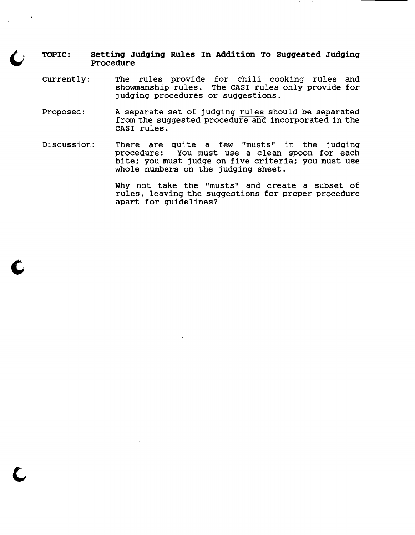## **TOPIC: setting Judging Rules In Addition To suggested Judging procedure**

- Currently: The rules provide for chili cooking rules and showmanship rules. The CASI rules only provide for judging procedures or suggestions.
- Proposed: A separate set of judging rules should be separated from the suggested procedure and incorporated in the CASI rules.
- Discussion: There are quite a few "musts" in the judging procedure: You must use a clean spoon for each bite; you must judge on five criteria; you must use whole numbers on the judging sheet.

c

Why not take the "musts" and create a subset of rules, leaving the suggestions for proper procedure apart for guidelines?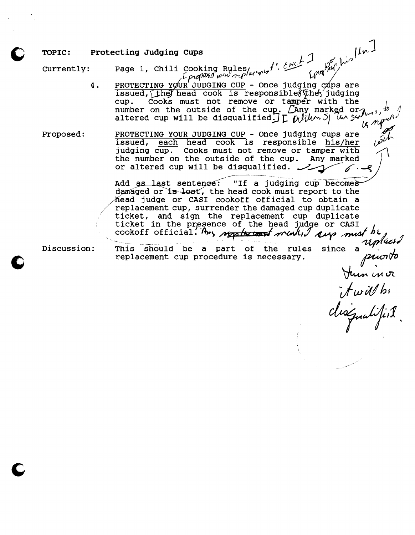# TOPIC: Protecting Judging Cups  $1, 1, ...$

Currently: Page 1, Chili Cooking Rules (*intimin<sup>t</sup>*),  $\frac{\mu}{\mu}$  on  $\frac{\mu}{\mu}$  . (not  $\frac{\mu}{\mu}$ )

4. PROTECTING YOUR JUDGING CUP - Once judging cops are issued, they head cook is responsible (they judging cup. Cooks must not remove or tamper with the number on the outside of the cup,. Cany marked or  $\int$ altered cup will be disqualified;  $\int_{\Gamma} \mathcal{L} \mathcal{L} \mathcal{L} \mathcal{L} \mathcal{L} \mathcal{L} \mathcal{L} \mathcal{L} \mathcal{L} \mathcal{L} \mathcal{L} \mathcal{L} \mathcal{L} \mathcal{L} \mathcal{L} \mathcal{L} \mathcal{L} \mathcal{L} \mathcal{L} \mathcal{L} \mathcal{L} \mathcal{L} \mathcal{L} \mathcal{L} \mathcal{L} \mathcal{L} \mathcal{L} \mathcal{L} \mathcal{L} \mathcal{L} \$ alucted out will be alsqualified.  $\int_{\mathcal{L}} \int_{\mathcal{M}} \int_{\mathcal{M}}^{\mathcal{M}} \int_{\mathcal{L}}^{\mathcal{M}} \int_{\mathcal{L}}^{\mathcal{M}} \int_{\mathcal{L}}^{\mathcal{M}} \int_{\mathcal{L}}^{\mathcal{M}} \int_{\mathcal{L}}^{\mathcal{M}} \int_{\mathcal{L}}^{\mathcal{M}} \int_{\mathcal{L}}^{\mathcal{M}} \int_{\mathcal{L}}^{\mathcal{M}} \int_{\mathcal{L}}^{\mathcal{M}} \int_{\mathcal{L$ 

issued, each head cook is responsible his/her the number on the outside of the cup. Any marked or altered cup will be disqualified. judging cup. Cooks must not remove or tamper with

> Add as last sentenee: "If a judging  $cup$  becomes damaged or  $1s$ -lost, the head cook must report to the Mead judge or CASI cookoff official to obtain a replacement cup, surrender the damaged cup duplicate replacement cup, surrender the damaged cup duplicate<br>ticket, and sign the replacement cup duplicate ticket in the presence of the head judge or CASI  $\prime$ cookoff official. Any map the lie all judge of CASI<br>cookoff official. Any map the team ment of must be

Discussion: This should be a part of the rules since a upper

Hum in or

*-jwrY*hf

 $\int_{1}^{4}$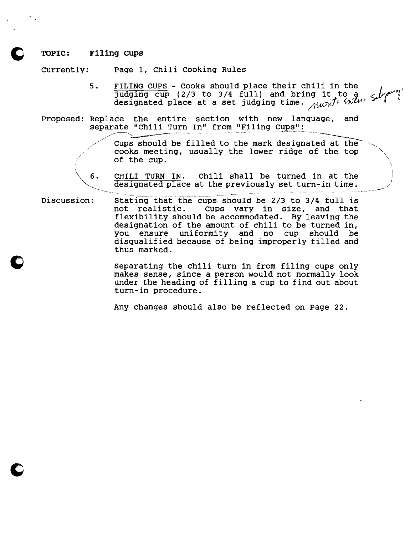#### TOPIC: Filing cups

Currently: Page 1, Chili cooking Rules

5. FILING CUPS - Cooks should place their chili in the  $\frac{1}{2}$  independently cup (2/3 to 3/4 full) and bring it to 9.  $\frac{1}{2}$ Judging cup (2/3 to 3/4 full) and bring it to  $d_{\mathcal{U}}$ <br>designated place at a set judging time.  $_{\mathcal{U}\mathcal{U}}$ 

l,

j.

Proposed: Replace the entire section with new language, and separate "Chili Turn In" from "Filing Cups":

> Cups should be filled to the mark designated at the  $\sim$  - cups should be filled to the mark designated at the  $\sim$  cooks meeting, usually the lower ridge of the top  $\sim$  $\overline{\phantom{a}}$  of the cup.

6. CHILI TURN IN. Chili shall be turned in at the designated place at the previously set turn-in time.

Discussion: Stating that the cups should be 2/3 to 3/4 full is<br>not realistic. Cups vary in size, and that cups vary in size, and that flexibility should be accommodated. By leaving the designation of the amount of chili to be turned in, you ensure uniformity and no cup should disqualified because of being improperly filled and thus marked.

> separating the chili turn in from filing cups only makes sense, since a person would not normally look under the heading of filling a cup to find out about turn-in procedure.

Any changes should also be reflected on page 22.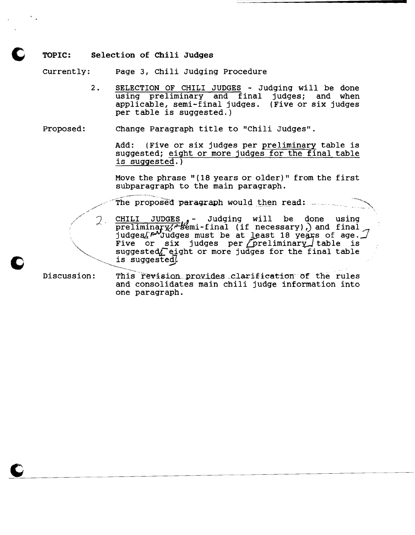#### TOPIC: Selection of Chili Judges

currently: page 3, Chili Judging Procedure

-~.'- ~~ ... '-..

2. SELECTION OF CHILI JUDGES - Judging will be done using preliminary and final judges; and when applicable, semi-final judges. (Five or six judges per table is suggested.)

Proposed: Change Paragraph title to "Chili Judges".

Add: (Five or six judges per preliminary table is suggested; eight or more judges for the final table is suggested.)

Move the phrase" (18 years or older)" from the first subparagraph to the main paragraph.

The proposed paragraph would then read: ......

 $\mathcal{Q}$ . CHILI JUDGES, - Judging will be done using preliminary  $\mathcal{U}$  semi-final (if necessary), and final  $\mathcal{A}$ judges $\Delta P$ )Judges must be at least 18 years of age.  $\mathcal{I}$  $\sqrt{\frac{1}{2}}$  Five or six judges per preliminary table is suggested $f$  eight or more judges for the final table is suggested. ----------.\_-..\_.. . .

Discussion: This revision provides clarification of the rules and consolidates main chili judge information into one paragraph.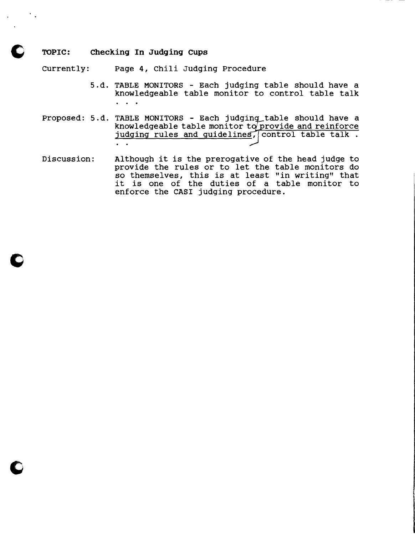#### TOPIC: Checking In Judging Cups

Currently: Page 4, Chili Judging Procedure

- 5.d. TABLE MONITORS Each judging table should have a knowledgeable table monitor to control table talk  $\ddot{\phantom{a}}$
- Proposed: 5.d. TABLE MONITORS Each judging table should have a knowledgeable table monitor to provide and reinforce judging rules and guidelines, control table talk.  $\mathbf{L} = \mathbf{L}$
- Discussion: Although it is the prerogative of the head judge to provide the rules or to let the table monitors do so themselves, this is at least "in writing" that so themselves, this is at least "in writing" that<br>it is one of the duties of a table monitor to enforce the CASI judging procedure.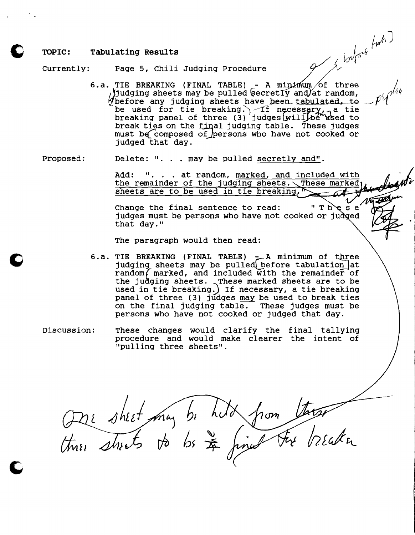#### **TOPIC: Tabulating Results**

currently: Page 5, Chili Judging procedure

Fage 5, Chili Judging Procedure<br>6.a. TIE BREAKING (FINAL TABLE) - A minimum of three / Judging sheets may be pulled  $\phi$  and  $\phi$  and  $\phi$  and  $\phi$ ,  $\phi$  $p$  ) udging sheets may be pulled secretly and at random,<br> $p$  before any judging sheets have been tabulated, to  $p$   $\gamma$ be used for tie breaking.) If necessary, a tie be used for tie breaking. The necessary, a tie<br>breaking panel of three (3) judges will be used to break ties on the final judging table. These judges must be composed of persons who have not cooked or judged that day.

Proposed: Delete: ". . . may be pulled secretly and".

Add: ". . . at random, marked, and included with the remainder of the judging sheets. These marked sheets are to be used in tie breaking.

 $\begin{array}{c}\n \cdot \text{ The set } \\
 \text{A or induced}\n\end{array}$ Change the final sentence to read: judges must be persons who have not cooked or judged that day."

The paragraph would then read:

- 6.a. TIE BREAKING (FINAL TABLE) A minimum of three judging sheets may be pulled before tabulation at  $random/marked, and included with the remainder of$ the judging sheets. These marked sheets are to be used in tie breaking;) If necessary, a tie breaking panel of three (3) judges may be used to break ties on the final judging  $table.$  These judges must be persons who have not cooked or judged that day.
- Discussion: These changes would clarify the final tallying procedure and would make clearer the intent of "pulling three sheets".

Otre sheet may be hild from these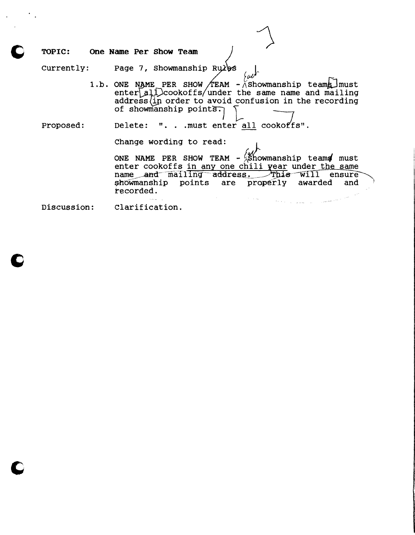TOPIC: One Name Per Show Team )

Currently: Page 7, Showmanship Rules

1.b. ONE NAME PER SHOW TEAM -  $\wedge$  showmanship teams must  $enter[a]$  cookoffs/under the same name and mailing  $address$   $(in$  order to avoid confusion in the recording of showmanship points.

Proposed: Delete: ". . . must enter all cookoffs".

Change wording to read:

ONE NAME PER SHOW TEAM -  $\frac{\partial V}{\partial S}$  how manship teams must enter cookoffs in any one chili year under the same name and mailing address. This will ensure showmanship points are properly awarded and recorded.  $\sim$  $\sim 10^{11}$  km  $^{-1}$  .

 $\mathcal{O}(\mathbb{R}^2)^{1/2}$  and  $\mathcal{O}(\mathbb{R}^2)$  . The contribution of the first state of  $\mathbb{R}^2$ 

Discussion: Clarification.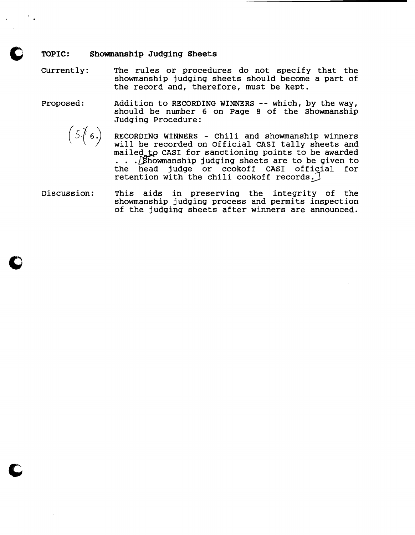#### TOPIC: Showmanship Judging Sheets

currently: The rules or procedures do not specify that the showmanship jUdging sheets should become a part of the record and, therefore, must be kept.

proposed: Addition to RECORDING WINNERS -- which, by the way, should be number 6 on Page 8 of the Showmanship Judging Procedure:

 $(5/6.)$ 

RECORDING WINNERS - Chili and showmanship winners<br>will be recorded on Official CASI tally sheets and mailed to CASI for sanctioning points to be awarded . . . [Showmanship judging sheets are to be given to the head judge or cookoff CASI official for retention with the chili cookoff records.

Discussion: This aids in preserving the integrity of the showmanship judging process and permits inspection of the judging sheets after winners are announced.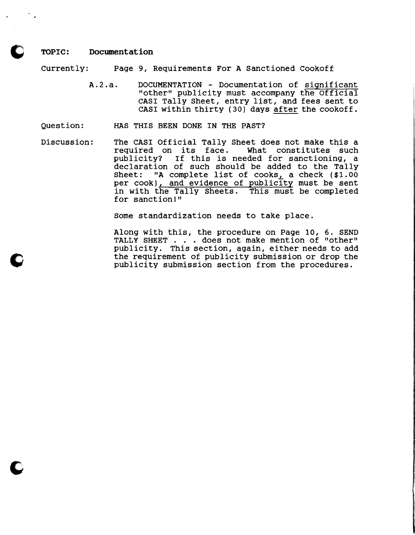#### TOPIC: Documentation

Currently: Page 9, Requirements For A Sanctioned Cookoff

- A.2.a. DOCUMENTATION Documentation of significant "other" publicity must accompany the Official CASI Tally Sheet, entry list, and fees sent to CASI within thirty (30) days after the cookoff.
- Question: HAS THIS BEEN DONE IN THE PAST?
- Discussion: The CASI Official Tally Sheet does not make this a<br>required on its face. What constitutes such required on its face. publicity? If this is needed for sanctioning, a declaration of such should be added to the Tally Sheet: "A complete list of cooks, a check (\$1.00 per cook), and evidence of publicity must be sent in with the Tally Sheets. This must be completed for sanctionl"

Some standardization needs to take place.

Along with this, the procedure on Page 10, 6. SEND TALLY SHEET . . . does not make mention of "other" publicity. This section, again, either needs to add the requirement of publicity submission or drop the publicity submission section from the procedures.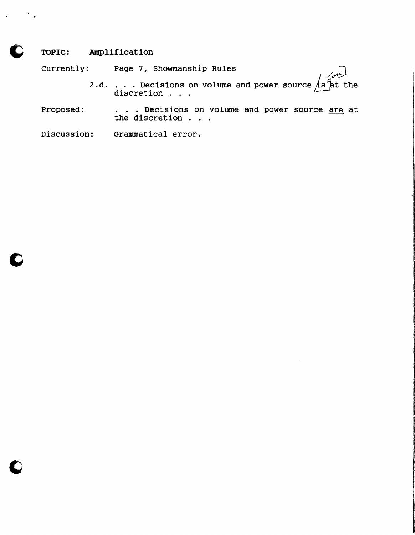# **TOPIC: Amplification**

Currently: Page 7, Showmanship Rules

- 2.d. . . . Decisions on volume and power source  $\sqrt{s}$  at the discretion . . .
- Proposed: . . . Decisions on volume and power source are at the discretion . . .
- Discussion: Grammatical error.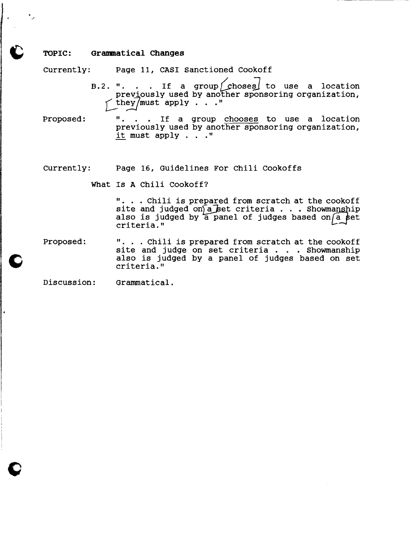#### TOPIC: Grammatical changes

Currently: Page II, CASI Sanctioned Cookoff

- B.2. ". . . If a group  $\int$  choses to use a location previously used by another sponsoring organization,  $\sim$  they/must apply . . ."
- Proposed: ". . . If a group chooses to use a location previously used by another sponsoring organization, it must apply . . ."

#### currently: Page 16, Guidelines For Chili Cookoffs

What Is A Chili Cookoff?

". . . Chili is prepared from scratch at the cookoff site and judged on  $\bar{a}$  bet criteria . . . Showmanship also is judged by a panel of judges based on  $\overline{a}$  set criteria."

Proposed: ". . . Chili is prepared from scratch at the cookoff site and judge on set criteria... Showmanship also is judged by a panel of judges based on set criteria."

Discussion: Grammatical.